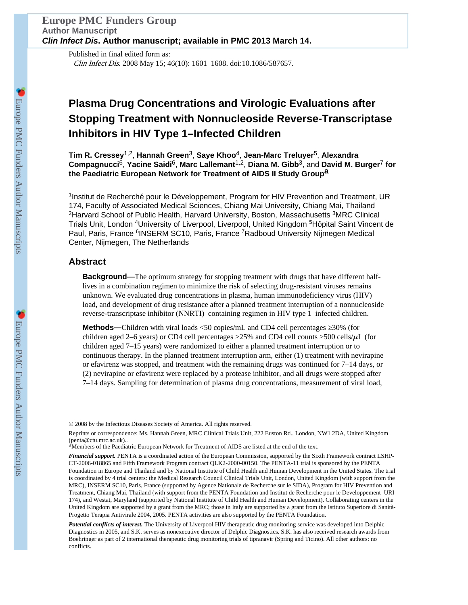Published in final edited form as: Clin Infect Dis. 2008 May 15; 46(10): 1601–1608. doi:10.1086/587657.

## **Plasma Drug Concentrations and Virologic Evaluations after Stopping Treatment with Nonnucleoside Reverse-Transcriptase Inhibitors in HIV Type 1–Infected Children**

**Tim R. Cressey**1,2, **Hannah Green**3, **Saye Khoo**4, **Jean-Marc Treluyer**5, **Alexandra Compagnucci**6, **Yacine Saidi**6, **Marc Lallemant**1,2, **Diana M. Gibb**3, and **David M. Burger**<sup>7</sup> **for the Paediatric European Network for Treatment of AIDS II Study Groupa**

<sup>1</sup>Institut de Recherché pour le Développement, Program for HIV Prevention and Treatment, UR 174, Faculty of Associated Medical Sciences, Chiang Mai University, Chiang Mai, Thailand <sup>2</sup>Harvard School of Public Health, Harvard University, Boston, Massachusetts <sup>3</sup>MRC Clinical Trials Unit, London <sup>4</sup>University of Liverpool, Liverpool, United Kingdom <sup>5</sup>Hôpital Saint Vincent de Paul, Paris, France <sup>6</sup>INSERM SC10, Paris, France <sup>7</sup>Radboud University Nijmegen Medical Center, Nijmegen, The Netherlands

## **Abstract**

**Background—**The optimum strategy for stopping treatment with drugs that have different halflives in a combination regimen to minimize the risk of selecting drug-resistant viruses remains unknown. We evaluated drug concentrations in plasma, human immunodeficiency virus (HIV) load, and development of drug resistance after a planned treatment interruption of a nonnucleoside reverse-transcriptase inhibitor (NNRTI)–containing regimen in HIV type 1–infected children.

**Methods—**Children with viral loads <50 copies/mL and CD4 cell percentages ≥30% (for children aged 2–6 years) or CD4 cell percentages  $25\%$  and CD4 cell counts  $500$  cells/ $\mu$ L (for children aged 7–15 years) were randomized to either a planned treatment interruption or to continuous therapy. In the planned treatment interruption arm, either (1) treatment with nevirapine or efavirenz was stopped, and treatment with the remaining drugs was continued for 7–14 days, or (2) nevirapine or efavirenz were replaced by a protease inhibitor, and all drugs were stopped after 7–14 days. Sampling for determination of plasma drug concentrations, measurement of viral load,

<sup>© 2008</sup> by the Infectious Diseases Society of America. All rights reserved.

Reprints or correspondence: Ms. Hannah Green, MRC Clinical Trials Unit, 222 Euston Rd., London, NW1 2DA, United Kingdom (penta@ctu.mrc.ac.uk)..<br><sup>a</sup>Members of the Paediatric European Network for Treatment of AIDS are listed at the end of the text.

*Financial support.* PENTA is a coordinated action of the European Commission, supported by the Sixth Framework contract LSHP-CT-2006-018865 and Fifth Framework Program contract QLK2-2000-00150. The PENTA-11 trial is sponsored by the PENTA Foundation in Europe and Thailand and by National Institute of Child Health and Human Development in the United States. The trial is coordinated by 4 trial centers: the Medical Research Council Clinical Trials Unit, London, United Kingdom (with support from the MRC), INSERM SC10, Paris, France (supported by Agence Nationale de Recherche sur le SIDA), Program for HIV Prevention and Treatment, Chiang Mai, Thailand (with support from the PENTA Foundation and Institut de Recherche pour le Developpement–URI 174), and Westat, Maryland (supported by National Institute of Child Health and Human Development). Collaborating centers in the United Kingdom are supported by a grant from the MRC; those in Italy are supported by a grant from the Istituto Superiore di Sanità-Progetto Terapia Antivirale 2004, 2005. PENTA activities are also supported by the PENTA Foundation.

*Potential conflicts of interest.* The University of Liverpool HIV therapeutic drug monitoring service was developed into Delphic Diagnostics in 2005, and S.K. serves as nonexecutive director of Delphic Diagnostics. S.K. has also received research awards from Boehringer as part of 2 international therapeutic drug monitoring trials of tipranavir (Spring and Ticino). All other authors: no conflicts.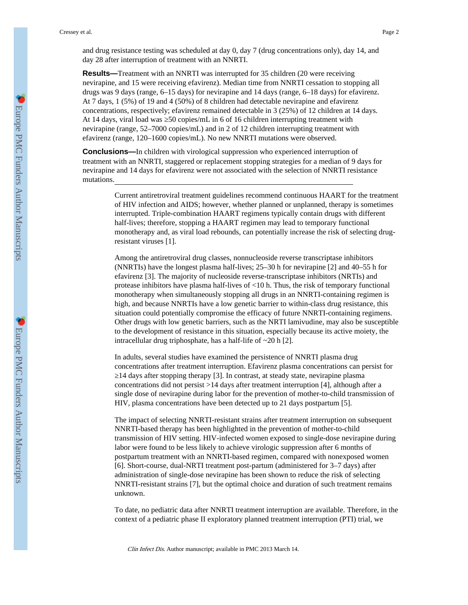and drug resistance testing was scheduled at day 0, day 7 (drug concentrations only), day 14, and day 28 after interruption of treatment with an NNRTI.

**Results—**Treatment with an NNRTI was interrupted for 35 children (20 were receiving nevirapine, and 15 were receiving efavirenz). Median time from NNRTI cessation to stopping all drugs was 9 days (range, 6–15 days) for nevirapine and 14 days (range, 6–18 days) for efavirenz. At 7 days, 1 (5%) of 19 and 4 (50%) of 8 children had detectable nevirapine and efavirenz concentrations, respectively; efavirenz remained detectable in 3 (25%) of 12 children at 14 days. At 14 days, viral load was 50 copies/mL in 6 of 16 children interrupting treatment with nevirapine (range, 52–7000 copies/mL) and in 2 of 12 children interrupting treatment with efavirenz (range, 120–1600 copies/mL). No new NNRTI mutations were observed.

**Conclusions—**In children with virological suppression who experienced interruption of treatment with an NNRTI, staggered or replacement stopping strategies for a median of 9 days for nevirapine and 14 days for efavirenz were not associated with the selection of NNRTI resistance mutations.

> Current antiretroviral treatment guidelines recommend continuous HAART for the treatment of HIV infection and AIDS; however, whether planned or unplanned, therapy is sometimes interrupted. Triple-combination HAART regimens typically contain drugs with different half-lives; therefore, stopping a HAART regimen may lead to temporary functional monotherapy and, as viral load rebounds, can potentially increase the risk of selecting drugresistant viruses [1].

> Among the antiretroviral drug classes, nonnucleoside reverse transcriptase inhibitors (NNRTIs) have the longest plasma half-lives; 25–30 h for nevirapine [2] and 40–55 h for efavirenz [3]. The majority of nucleoside reverse-transcriptase inhibitors (NRTIs) and protease inhibitors have plasma half-lives of <10 h. Thus, the risk of temporary functional monotherapy when simultaneously stopping all drugs in an NNRTI-containing regimen is high, and because NNRTIs have a low genetic barrier to within-class drug resistance, this situation could potentially compromise the efficacy of future NNRTI-containing regimens. Other drugs with low genetic barriers, such as the NRTI lamivudine, may also be susceptible to the development of resistance in this situation, especially because its active moiety, the intracellular drug triphosphate, has a half-life of ~20 h [2].

In adults, several studies have examined the persistence of NNRTI plasma drug concentrations after treatment interruption. Efavirenz plasma concentrations can persist for ≥14 days after stopping therapy [3]. In contrast, at steady state, nevirapine plasma concentrations did not persist >14 days after treatment interruption [4], although after a single dose of nevirapine during labor for the prevention of mother-to-child transmission of HIV, plasma concentrations have been detected up to 21 days postpartum [5].

The impact of selecting NNRTI-resistant strains after treatment interruption on subsequent NNRTI-based therapy has been highlighted in the prevention of mother-to-child transmission of HIV setting. HIV-infected women exposed to single-dose nevirapine during labor were found to be less likely to achieve virologic suppression after 6 months of postpartum treatment with an NNRTI-based regimen, compared with nonexposed women [6]. Short-course, dual-NRTI treatment post-partum (administered for 3–7 days) after administration of single-dose nevirapine has been shown to reduce the risk of selecting NNRTI-resistant strains [7], but the optimal choice and duration of such treatment remains unknown.

To date, no pediatric data after NNRTI treatment interruption are available. Therefore, in the context of a pediatric phase II exploratory planned treatment interruption (PTI) trial, we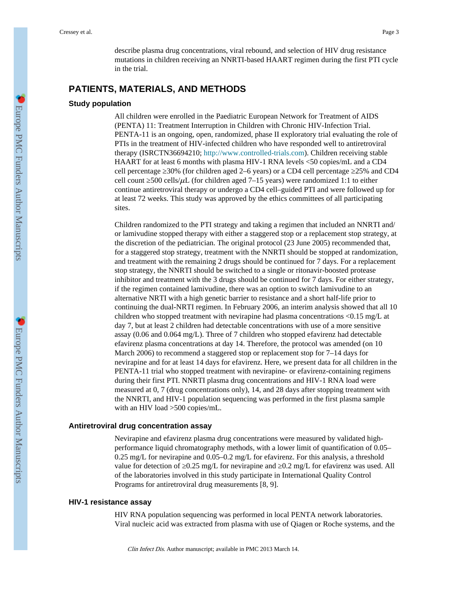describe plasma drug concentrations, viral rebound, and selection of HIV drug resistance mutations in children receiving an NNRTI-based HAART regimen during the first PTI cycle in the trial.

## **PATIENTS, MATERIALS, AND METHODS**

#### **Study population**

All children were enrolled in the Paediatric European Network for Treatment of AIDS (PENTA) 11: Treatment Interruption in Children with Chronic HIV-Infection Trial. PENTA-11 is an ongoing, open, randomized, phase II exploratory trial evaluating the role of PTIs in the treatment of HIV-infected children who have responded well to antiretroviral therapy (ISRCTN36694210; <http://www.controlled-trials.com>). Children receiving stable HAART for at least 6 months with plasma HIV-1 RNA levels <50 copies/mL and a CD4 cell percentage ≥30% (for children aged 2–6 years) or a CD4 cell percentage ≥25% and CD4 cell count  $500$  cells/ $\mu$ L (for children aged 7–15 years) were randomized 1:1 to either continue antiretroviral therapy or undergo a CD4 cell–guided PTI and were followed up for at least 72 weeks. This study was approved by the ethics committees of all participating sites.

Children randomized to the PTI strategy and taking a regimen that included an NNRTI and/ or lamivudine stopped therapy with either a staggered stop or a replacement stop strategy, at the discretion of the pediatrician. The original protocol (23 June 2005) recommended that, for a staggered stop strategy, treatment with the NNRTI should be stopped at randomization, and treatment with the remaining 2 drugs should be continued for 7 days. For a replacement stop strategy, the NNRTI should be switched to a single or ritonavir-boosted protease inhibitor and treatment with the 3 drugs should be continued for 7 days. For either strategy, if the regimen contained lamivudine, there was an option to switch lamivudine to an alternative NRTI with a high genetic barrier to resistance and a short half-life prior to continuing the dual-NRTI regimen. In February 2006, an interim analysis showed that all 10 children who stopped treatment with nevirapine had plasma concentrations  $\langle 0.15 \text{ mg/L at }$ day 7, but at least 2 children had detectable concentrations with use of a more sensitive assay (0.06 and 0.064 mg/L). Three of 7 children who stopped efavirenz had detectable efavirenz plasma concentrations at day 14. Therefore, the protocol was amended (on 10 March 2006) to recommend a staggered stop or replacement stop for 7–14 days for nevirapine and for at least 14 days for efavirenz. Here, we present data for all children in the PENTA-11 trial who stopped treatment with nevirapine- or efavirenz-containing regimens during their first PTI. NNRTI plasma drug concentrations and HIV-1 RNA load were measured at 0, 7 (drug concentrations only), 14, and 28 days after stopping treatment with the NNRTI, and HIV-1 population sequencing was performed in the first plasma sample with an HIV load >500 copies/mL.

#### **Antiretroviral drug concentration assay**

Nevirapine and efavirenz plasma drug concentrations were measured by validated highperformance liquid chromatography methods, with a lower limit of quantification of 0.05– 0.25 mg/L for nevirapine and 0.05–0.2 mg/L for efavirenz. For this analysis, a threshold value for detection of  $0.25 \text{ mg/L}$  for nevirapine and  $0.2 \text{ mg/L}$  for efavirenz was used. All of the laboratories involved in this study participate in International Quality Control Programs for antiretroviral drug measurements [8, 9].

#### **HIV-1 resistance assay**

HIV RNA population sequencing was performed in local PENTA network laboratories. Viral nucleic acid was extracted from plasma with use of Qiagen or Roche systems, and the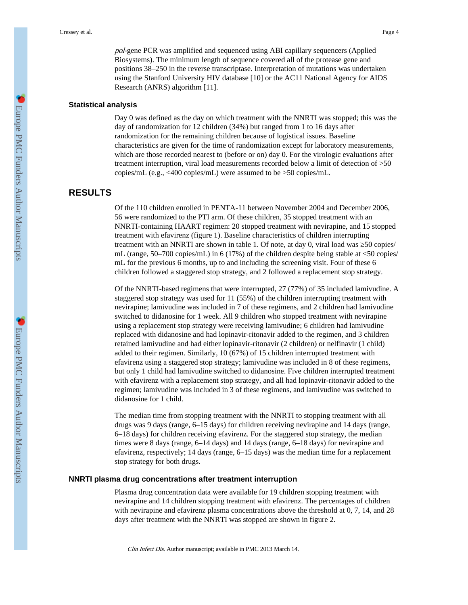pol-gene PCR was amplified and sequenced using ABI capillary sequencers (Applied Biosystems). The minimum length of sequence covered all of the protease gene and positions 38–250 in the reverse transcriptase. Interpretation of mutations was undertaken using the Stanford University HIV database [10] or the AC11 National Agency for AIDS Research (ANRS) algorithm [11].

## **Statistical analysis**

Day 0 was defined as the day on which treatment with the NNRTI was stopped; this was the day of randomization for 12 children (34%) but ranged from 1 to 16 days after randomization for the remaining children because of logistical issues. Baseline characteristics are given for the time of randomization except for laboratory measurements, which are those recorded nearest to (before or on) day 0. For the virologic evaluations after treatment interruption, viral load measurements recorded below a limit of detection of >50 copies/mL (e.g., <400 copies/mL) were assumed to be >50 copies/mL.

## **RESULTS**

Of the 110 children enrolled in PENTA-11 between November 2004 and December 2006, 56 were randomized to the PTI arm. Of these children, 35 stopped treatment with an NNRTI-containing HAART regimen: 20 stopped treatment with nevirapine, and 15 stopped treatment with efavirenz (figure 1). Baseline characteristics of children interrupting treatment with an NNRTI are shown in table 1. Of note, at day 0, viral load was 50 copies/ mL (range,  $50-700$  copies/mL) in 6 (17%) of the children despite being stable at  $\langle 50 \text{ copies} \rangle$ mL for the previous 6 months, up to and including the screening visit. Four of these 6 children followed a staggered stop strategy, and 2 followed a replacement stop strategy.

Of the NNRTI-based regimens that were interrupted, 27 (77%) of 35 included lamivudine. A staggered stop strategy was used for 11 (55%) of the children interrupting treatment with nevirapine; lamivudine was included in 7 of these regimens, and 2 children had lamivudine switched to didanosine for 1 week. All 9 children who stopped treatment with nevirapine using a replacement stop strategy were receiving lamivudine; 6 children had lamivudine replaced with didanosine and had lopinavir-ritonavir added to the regimen, and 3 children retained lamivudine and had either lopinavir-ritonavir (2 children) or nelfinavir (1 child) added to their regimen. Similarly, 10 (67%) of 15 children interrupted treatment with efavirenz using a staggered stop strategy; lamivudine was included in 8 of these regimens, but only 1 child had lamivudine switched to didanosine. Five children interrupted treatment with efavirenz with a replacement stop strategy, and all had lopinavir-ritonavir added to the regimen; lamivudine was included in 3 of these regimens, and lamivudine was switched to didanosine for 1 child.

The median time from stopping treatment with the NNRTI to stopping treatment with all drugs was 9 days (range, 6–15 days) for children receiving nevirapine and 14 days (range, 6–18 days) for children receiving efavirenz. For the staggered stop strategy, the median times were 8 days (range, 6–14 days) and 14 days (range, 6–18 days) for nevirapine and efavirenz, respectively; 14 days (range, 6–15 days) was the median time for a replacement stop strategy for both drugs.

## **NNRTI plasma drug concentrations after treatment interruption**

Plasma drug concentration data were available for 19 children stopping treatment with nevirapine and 14 children stopping treatment with efavirenz. The percentages of children with nevirapine and efavirenz plasma concentrations above the threshold at 0, 7, 14, and 28 days after treatment with the NNRTI was stopped are shown in figure 2.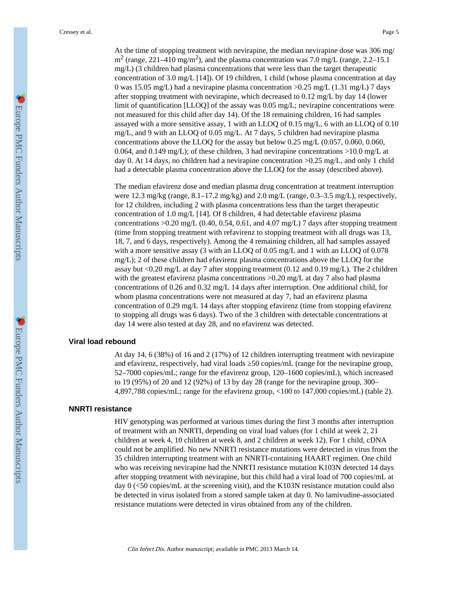At the time of stopping treatment with nevirapine, the median nevirapine dose was 306 mg/  $\text{m}^2$  (range, 221–410 mg/m<sup>2</sup>), and the plasma concentration was 7.0 mg/L (range, 2.2–15.1) mg/L) (3 children had plasma concentrations that were less than the target therapeutic concentration of 3.0 mg/L [14]). Of 19 children, 1 child (whose plasma concentration at day 0 was 15.05 mg/L) had a nevirapine plasma concentration >0.25 mg/L (1.31 mg/L) 7 days after stopping treatment with nevirapine, which decreased to 0.12 mg/L by day 14 (lower limit of quantification [LLOQ] of the assay was 0.05 mg/L; nevirapine concentrations were not measured for this child after day 14). Of the 18 remaining children, 16 had samples assayed with a more sensitive assay, 1 with an LLOQ of 0.15 mg/L, 6 with an LLOQ of 0.10 mg/L, and 9 with an LLOQ of 0.05 mg/L. At 7 days, 5 children had nevirapine plasma concentrations above the LLOQ for the assay but below 0.25 mg/L (0.057, 0.060, 0.060, 0.064, and 0.149 mg/L); of these children, 3 had nevirapine concentrations >10.0 mg/L at day 0. At 14 days, no children had a nevirapine concentration >0.25 mg/L, and only 1 child had a detectable plasma concentration above the LLOQ for the assay (described above).

The median efavirenz dose and median plasma drug concentration at treatment interruption were 12.3 mg/kg (range, 8.1–17.2 mg/kg) and 2.0 mg/L (range, 0.3–3.5 mg/L), respectively, for 12 children, including 2 with plasma concentrations less than the target therapeutic concentration of 1.0 mg/L [14]. Of 8 children, 4 had detectable efavirenz plasma concentrations  $>0.20$  mg/L (0.40, 0.54, 0.61, and 4.07 mg/L) 7 days after stopping treatment (time from stopping treatment with refavirenz to stopping treatment with all drugs was 13, 18, 7, and 6 days, respectively). Among the 4 remaining children, all had samples assayed with a more sensitive assay (3 with an LLOQ of 0.05 mg/L and 1 with an LLOQ of 0.078 mg/L); 2 of these children had efavirenz plasma concentrations above the LLOQ for the assay but <0.20 mg/L at day 7 after stopping treatment (0.12 and 0.19 mg/L). The 2 children with the greatest efavirenz plasma concentrations  $>0.20$  mg/L at day 7 also had plasma concentrations of 0.26 and 0.32 mg/L 14 days after interruption. One additional child, for whom plasma concentrations were not measured at day 7, had an efavirenz plasma concentration of 0.29 mg/L 14 days after stopping efavirenz (time from stopping efavirenz to stopping all drugs was 6 days). Two of the 3 children with detectable concentrations at day 14 were also tested at day 28, and no efavirenz was detected.

## **Viral load rebound**

At day 14, 6 (38%) of 16 and 2 (17%) of 12 children interrupting treatment with nevirapine and efavirenz, respectively, had viral loads  $\,$  50 copies/mL (range for the nevirapine group, 52–7000 copies/mL; range for the efavirenz group, 120–1600 copies/mL), which increased to 19 (95%) of 20 and 12 (92%) of 13 by day 28 (range for the nevirapine group, 300– 4,897,788 copies/mL; range for the efavirenz group, <100 to 147,000 copies/mL) (table 2).

#### **NNRTI resistance**

HIV genotyping was performed at various times during the first 3 months after interruption of treatment with an NNRTI, depending on viral load values (for 1 child at week 2, 21 children at week 4, 10 children at week 8, and 2 children at week 12). For 1 child, cDNA could not be amplified. No new NNRTI resistance mutations were detected in virus from the 35 children interrupting treatment with an NNRTI-containing HAART regimen. One child who was receiving nevirapine had the NNRTI resistance mutation K103N detected 14 days after stopping treatment with nevirapine, but this child had a viral load of 700 copies/mL at day 0 (<50 copies/mL at the screening visit), and the K103N resistance mutation could also be detected in virus isolated from a stored sample taken at day 0. No lamivudine-associated resistance mutations were detected in virus obtained from any of the children.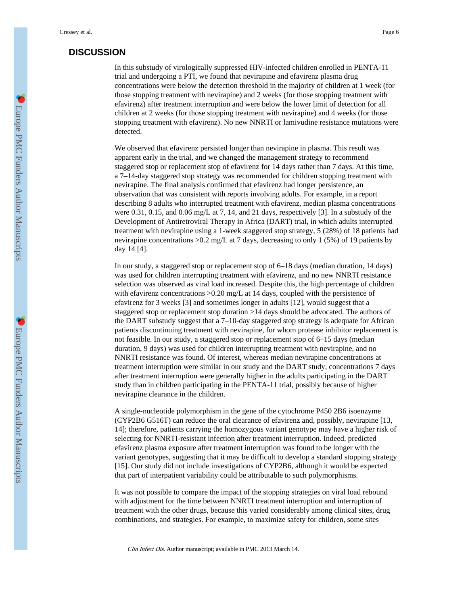## **DISCUSSION**

In this substudy of virologically suppressed HIV-infected children enrolled in PENTA-11 trial and undergoing a PTI, we found that nevirapine and efavirenz plasma drug concentrations were below the detection threshold in the majority of children at 1 week (for those stopping treatment with nevirapine) and 2 weeks (for those stopping treatment with efavirenz) after treatment interruption and were below the lower limit of detection for all children at 2 weeks (for those stopping treatment with nevirapine) and 4 weeks (for those stopping treatment with efavirenz). No new NNRTI or lamivudine resistance mutations were detected.

We observed that efavirenz persisted longer than nevirapine in plasma. This result was apparent early in the trial, and we changed the management strategy to recommend staggered stop or replacement stop of efavirenz for 14 days rather than 7 days. At this time, a 7–14-day staggered stop strategy was recommended for children stopping treatment with nevirapine. The final analysis confirmed that efavirenz had longer persistence, an observation that was consistent with reports involving adults. For example, in a report describing 8 adults who interrupted treatment with efavirenz, median plasma concentrations were 0.31, 0.15, and 0.06 mg/L at 7, 14, and 21 days, respectively [3]. In a substudy of the Development of Antiretroviral Therapy in Africa (DART) trial, in which adults interrupted treatment with nevirapine using a 1-week staggered stop strategy, 5 (28%) of 18 patients had nevirapine concentrations >0.2 mg/L at 7 days, decreasing to only 1 (5%) of 19 patients by day 14 [4].

In our study, a staggered stop or replacement stop of 6–18 days (median duration, 14 days) was used for children interrupting treatment with efavirenz, and no new NNRTI resistance selection was observed as viral load increased. Despite this, the high percentage of children with efavirenz concentrations >0.20 mg/L at 14 days, coupled with the persistence of efavirenz for 3 weeks [3] and sometimes longer in adults [12], would suggest that a staggered stop or replacement stop duration >14 days should be advocated. The authors of the DART substudy suggest that a 7–10-day staggered stop strategy is adequate for African patients discontinuing treatment with nevirapine, for whom protease inhibitor replacement is not feasible. In our study, a staggered stop or replacement stop of 6–15 days (median duration, 9 days) was used for children interrupting treatment with nevirapine, and no NNRTI resistance was found. Of interest, whereas median nevirapine concentrations at treatment interruption were similar in our study and the DART study, concentrations 7 days after treatment interruption were generally higher in the adults participating in the DART study than in children participating in the PENTA-11 trial, possibly because of higher nevirapine clearance in the children.

A single-nucleotide polymorphism in the gene of the cytochrome P450 2B6 isoenzyme (CYP2B6 G516T) can reduce the oral clearance of efavirenz and, possibly, nevirapine [13, 14]; therefore, patients carrying the homozygous variant genotype may have a higher risk of selecting for NNRTI-resistant infection after treatment interruption. Indeed, predicted efavirenz plasma exposure after treatment interruption was found to be longer with the variant genotypes, suggesting that it may be difficult to develop a standard stopping strategy [15]. Our study did not include investigations of CYP2B6, although it would be expected that part of interpatient variability could be attributable to such polymorphisms.

It was not possible to compare the impact of the stopping strategies on viral load rebound with adjustment for the time between NNRTI treatment interruption and interruption of treatment with the other drugs, because this varied considerably among clinical sites, drug combinations, and strategies. For example, to maximize safety for children, some sites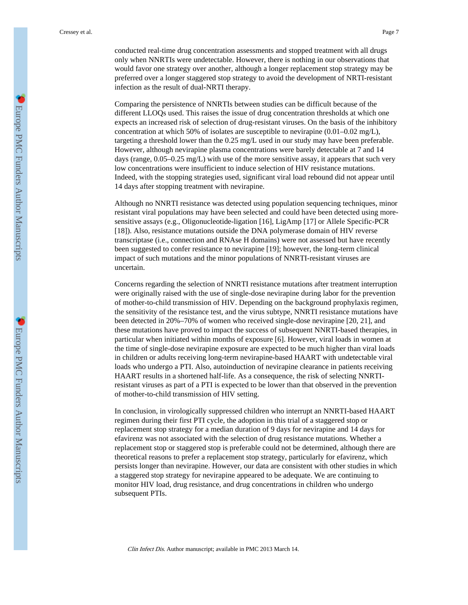conducted real-time drug concentration assessments and stopped treatment with all drugs only when NNRTIs were undetectable. However, there is nothing in our observations that would favor one strategy over another, although a longer replacement stop strategy may be preferred over a longer staggered stop strategy to avoid the development of NRTI-resistant infection as the result of dual-NRTI therapy.

Comparing the persistence of NNRTIs between studies can be difficult because of the different LLOQs used. This raises the issue of drug concentration thresholds at which one expects an increased risk of selection of drug-resistant viruses. On the basis of the inhibitory concentration at which 50% of isolates are susceptible to nevirapine (0.01–0.02 mg/L), targeting a threshold lower than the 0.25 mg/L used in our study may have been preferable. However, although nevirapine plasma concentrations were barely detectable at 7 and 14 days (range,  $0.05-0.25$  mg/L) with use of the more sensitive assay, it appears that such very low concentrations were insufficient to induce selection of HIV resistance mutations. Indeed, with the stopping strategies used, significant viral load rebound did not appear until 14 days after stopping treatment with nevirapine.

Although no NNRTI resistance was detected using population sequencing techniques, minor resistant viral populations may have been selected and could have been detected using moresensitive assays (e.g., Oligonucleotide-ligation [16], LigAmp [17] or Allele Specific-PCR [18]). Also, resistance mutations outside the DNA polymerase domain of HIV reverse transcriptase (i.e., connection and RNAse H domains) were not assessed but have recently been suggested to confer resistance to nevirapine [19]; however, the long-term clinical impact of such mutations and the minor populations of NNRTI-resistant viruses are uncertain.

Concerns regarding the selection of NNRTI resistance mutations after treatment interruption were originally raised with the use of single-dose nevirapine during labor for the prevention of mother-to-child transmission of HIV. Depending on the background prophylaxis regimen, the sensitivity of the resistance test, and the virus subtype, NNRTI resistance mutations have been detected in 20%–70% of women who received single-dose nevirapine [20, 21], and these mutations have proved to impact the success of subsequent NNRTI-based therapies, in particular when initiated within months of exposure [6]. However, viral loads in women at the time of single-dose nevirapine exposure are expected to be much higher than viral loads in children or adults receiving long-term nevirapine-based HAART with undetectable viral loads who undergo a PTI. Also, autoinduction of nevirapine clearance in patients receiving HAART results in a shortened half-life. As a consequence, the risk of selecting NNRTIresistant viruses as part of a PTI is expected to be lower than that observed in the prevention of mother-to-child transmission of HIV setting.

In conclusion, in virologically suppressed children who interrupt an NNRTI-based HAART regimen during their first PTI cycle, the adoption in this trial of a staggered stop or replacement stop strategy for a median duration of 9 days for nevirapine and 14 days for efavirenz was not associated with the selection of drug resistance mutations. Whether a replacement stop or staggered stop is preferable could not be determined, although there are theoretical reasons to prefer a replacement stop strategy, particularly for efavirenz, which persists longer than nevirapine. However, our data are consistent with other studies in which a staggered stop strategy for nevirapine appeared to be adequate. We are continuing to monitor HIV load, drug resistance, and drug concentrations in children who undergo subsequent PTIs.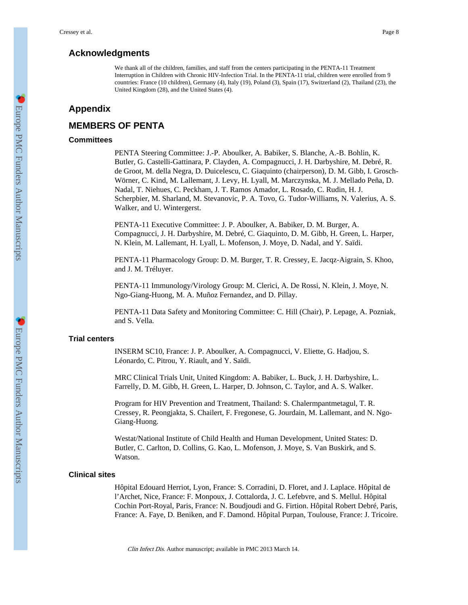## **Acknowledgments**

We thank all of the children, families, and staff from the centers participating in the PENTA-11 Treatment Interruption in Children with Chronic HIV-Infection Trial. In the PENTA-11 trial, children were enrolled from 9 countries: France (10 children), Germany (4), Italy (19), Poland (3), Spain (17), Switzerland (2), Thailand (23), the United Kingdom (28), and the United States (4).

## **Appendix**

## **MEMBERS OF PENTA**

## **Committees**

PENTA Steering Committee: J.-P. Aboulker, A. Babiker, S. Blanche, A.-B. Bohlin, K. Butler, G. Castelli-Gattinara, P. Clayden, A. Compagnucci, J. H. Darbyshire, M. Debré, R. de Groot, M. della Negra, D. Duicelescu, C. Giaquinto (chairperson), D. M. Gibb, I. Grosch-Wörner, C. Kind, M. Lallemant, J. Levy, H. Lyall, M. Marczynska, M. J. Mellado Peña, D. Nadal, T. Niehues, C. Peckham, J. T. Ramos Amador, L. Rosado, C. Rudin, H. J. Scherpbier, M. Sharland, M. Stevanovic, P. A. Tovo, G. Tudor-Williams, N. Valerius, A. S. Walker, and U. Wintergerst.

PENTA-11 Executive Committee: J. P. Aboulker, A. Babiker, D. M. Burger, A. Compagnucci, J. H. Darbyshire, M. Debré, C. Giaquinto, D. M. Gibb, H. Green, L. Harper, N. Klein, M. Lallemant, H. Lyall, L. Mofenson, J. Moye, D. Nadal, and Y. Saïdi.

PENTA-11 Pharmacology Group: D. M. Burger, T. R. Cressey, E. Jacqz-Aigrain, S. Khoo, and J. M. Tréluyer.

PENTA-11 Immunology/Virology Group: M. Clerici, A. De Rossi, N. Klein, J. Moye, N. Ngo-Giang-Huong, M. A. Muñoz Fernandez, and D. Pillay.

PENTA-11 Data Safety and Monitoring Committee: C. Hill (Chair), P. Lepage, A. Pozniak, and S. Vella.

#### **Trial centers**

INSERM SC10, France: J. P. Aboulker, A. Compagnucci, V. Eliette, G. Hadjou, S. Léonardo, C. Pitrou, Y. Riault, and Y. Saïdi.

MRC Clinical Trials Unit, United Kingdom: A. Babiker, L. Buck, J. H. Darbyshire, L. Farrelly, D. M. Gibb, H. Green, L. Harper, D. Johnson, C. Taylor, and A. S. Walker.

Program for HIV Prevention and Treatment, Thailand: S. Chalermpantmetagul, T. R. Cressey, R. Peongjakta, S. Chailert, F. Fregonese, G. Jourdain, M. Lallemant, and N. Ngo-Giang-Huong.

Westat/National Institute of Child Health and Human Development, United States: D. Butler, C. Carlton, D. Collins, G. Kao, L. Mofenson, J. Moye, S. Van Buskirk, and S. Watson.

#### **Clinical sites**

Hôpital Edouard Herriot, Lyon, France: S. Corradini, D. Floret, and J. Laplace. Hôpital de l'Archet, Nice, France: F. Monpoux, J. Cottalorda, J. C. Lefebvre, and S. Mellul. Hôpital Cochin Port-Royal, Paris, France: N. Boudjoudi and G. Firtion. Hôpital Robert Debré, Paris, France: A. Faye, D. Beniken, and F. Damond. Hôpital Purpan, Toulouse, France: J. Tricoire.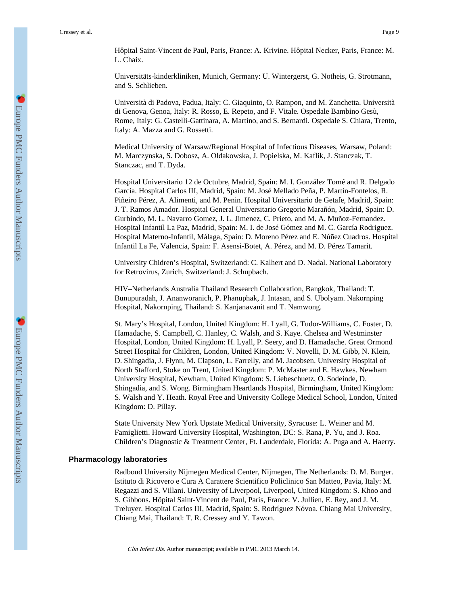Hôpital Saint-Vincent de Paul, Paris, France: A. Krivine. Hôpital Necker, Paris, France: M. L. Chaix.

Universitäts-kinderkliniken, Munich, Germany: U. Wintergerst, G. Notheis, G. Strotmann, and S. Schlieben.

Università di Padova, Padua, Italy: C. Giaquinto, O. Rampon, and M. Zanchetta. Università di Genova, Genoa, Italy: R. Rosso, E. Repeto, and F. Vitale. Ospedale Bambino Gesù, Rome, Italy: G. Castelli-Gattinara, A. Martino, and S. Bernardi. Ospedale S. Chiara, Trento, Italy: A. Mazza and G. Rossetti.

Medical University of Warsaw/Regional Hospital of Infectious Diseases, Warsaw, Poland: M. Marczynska, S. Dobosz, A. Oldakowska, J. Popielska, M. Kaflik, J. Stanczak, T. Stanczac, and T. Dyda.

Hospital Universitario 12 de Octubre, Madrid, Spain: M. I. González Tomé and R. Delgado García. Hospital Carlos III, Madrid, Spain: M. José Mellado Peña, P. Martín-Fontelos, R. Piñeiro Pérez, A. Alimenti, and M. Penin. Hospital Universitario de Getafe, Madrid, Spain: J. T. Ramos Amador. Hospital General Universitario Gregorio Marañón, Madrid, Spain: D. Gurbindo, M. L. Navarro Gomez, J. L. Jimenez, C. Prieto, and M. A. Muñoz-Fernandez. Hospital Infantíl La Paz, Madrid, Spain: M. I. de José Gómez and M. C. García Rodriguez. Hospital Materno-Infantil, Málaga, Spain: D. Moreno Pérez and E. Núñez Cuadros. Hospital Infantil La Fe, Valencia, Spain: F. Asensi-Botet, A. Pérez, and M. D. Pérez Tamarit.

University Chidren's Hospital, Switzerland: C. Kalhert and D. Nadal. National Laboratory for Retrovirus, Zurich, Switzerland: J. Schupbach.

HIV–Netherlands Australia Thailand Research Collaboration, Bangkok, Thailand: T. Bunupuradah, J. Ananworanich, P. Phanuphak, J. Intasan, and S. Ubolyam. Nakornping Hospital, Nakornping, Thailand: S. Kanjanavanit and T. Namwong.

St. Mary's Hospital, London, United Kingdom: H. Lyall, G. Tudor-Williams, C. Foster, D. Hamadache, S. Campbell, C. Hanley, C. Walsh, and S. Kaye. Chelsea and Westminster Hospital, London, United Kingdom: H. Lyall, P. Seery, and D. Hamadache. Great Ormond Street Hospital for Children, London, United Kingdom: V. Novelli, D. M. Gibb, N. Klein, D. Shingadia, J. Flynn, M. Clapson, L. Farrelly, and M. Jacobsen. University Hospital of North Stafford, Stoke on Trent, United Kingdom: P. McMaster and E. Hawkes. Newham University Hospital, Newham, United Kingdom: S. Liebeschuetz, O. Sodeinde, D. Shingadia, and S. Wong. Birmingham Heartlands Hospital, Birmingham, United Kingdom: S. Walsh and Y. Heath. Royal Free and University College Medical School, London, United Kingdom: D. Pillay.

State University New York Upstate Medical University, Syracuse: L. Weiner and M. Famiglietti. Howard University Hospital, Washington, DC: S. Rana, P. Yu, and J. Roa. Children's Diagnostic & Treatment Center, Ft. Lauderdale, Florida: A. Puga and A. Haerry.

#### **Pharmacology laboratories**

Radboud University Nijmegen Medical Center, Nijmegen, The Netherlands: D. M. Burger. Istituto di Ricovero e Cura A Carattere Scientifico Policlinico San Matteo, Pavia, Italy: M. Regazzi and S. Villani. University of Liverpool, Liverpool, United Kingdom: S. Khoo and S. Gibbons. Hôpital Saint-Vincent de Paul, Paris, France: V. Jullien, E. Rey, and J. M. Treluyer. Hospital Carlos III, Madrid, Spain: S. Rodríguez Nóvoa. Chiang Mai University, Chiang Mai, Thailand: T. R. Cressey and Y. Tawon.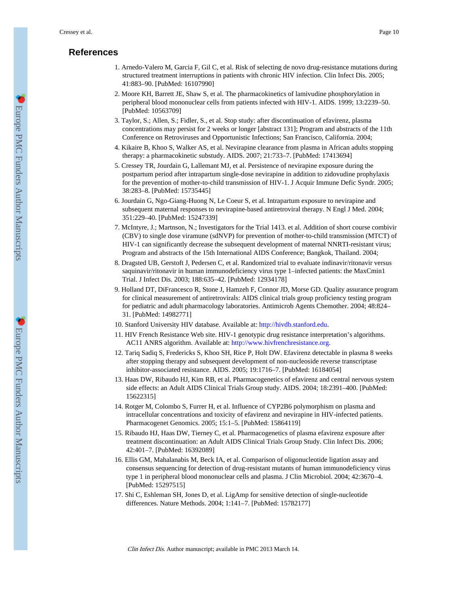## **References**

- 1. Arnedo-Valero M, Garcia F, Gil C, et al. Risk of selecting de novo drug-resistance mutations during structured treatment interruptions in patients with chronic HIV infection. Clin Infect Dis. 2005; 41:883–90. [PubMed: 16107990]
- 2. Moore KH, Barrett JE, Shaw S, et al. The pharmacokinetics of lamivudine phosphorylation in peripheral blood mononuclear cells from patients infected with HIV-1. AIDS. 1999; 13:2239–50. [PubMed: 10563709]
- 3. Taylor, S.; Allen, S.; Fidler, S., et al. Stop study: after discontinuation of efavirenz, plasma concentrations may persist for 2 weeks or longer [abstract 131]; Program and abstracts of the 11th Conference on Retroviruses and Opportunistic Infections; San Francisco, California. 2004;
- 4. Kikaire B, Khoo S, Walker AS, et al. Nevirapine clearance from plasma in African adults stopping therapy: a pharmacokinetic substudy. AIDS. 2007; 21:733–7. [PubMed: 17413694]
- 5. Cressey TR, Jourdain G, Lallemant MJ, et al. Persistence of nevirapine exposure during the postpartum period after intrapartum single-dose nevirapine in addition to zidovudine prophylaxis for the prevention of mother-to-child transmission of HIV-1. J Acquir Immune Defic Syndr. 2005; 38:283–8. [PubMed: 15735445]
- 6. Jourdain G, Ngo-Giang-Huong N, Le Coeur S, et al. Intrapartum exposure to nevirapine and subsequent maternal responses to nevirapine-based antiretroviral therapy. N Engl J Med. 2004; 351:229–40. [PubMed: 15247339]
- 7. McIntyre, J.; Martnson, N.; Investigators for the Trial 1413. et al. Addition of short course combivir (CBV) to single dose viramune (sdNVP) for prevention of mother-to-child transmission (MTCT) of HIV-1 can significantly decrease the subsequent development of maternal NNRTI-resistant virus; Program and abstracts of the 15th International AIDS Conference; Bangkok, Thailand. 2004;
- 8. Dragsted UB, Gerstoft J, Pedersen C, et al. Randomized trial to evaluate indinavir/ritonavir versus saquinavir/ritonavir in human immunodeficiency virus type 1–infected patients: the MaxCmin1 Trial. J Infect Dis. 2003; 188:635–42. [PubMed: 12934178]
- 9. Holland DT, DiFrancesco R, Stone J, Hamzeh F, Connor JD, Morse GD. Quality assurance program for clinical measurement of antiretrovirals: AIDS clinical trials group proficiency testing program for pediatric and adult pharmacology laboratories. Antimicrob Agents Chemother. 2004; 48:824– 31. [PubMed: 14982771]
- 10. Stanford University HIV database. Available at:<http://hivdb.stanford.edu>.
- 11. HIV French Resistance Web site. HIV-1 genotypic drug resistance interpretation's algorithms. AC11 ANRS algorithm. Available at: <http://www.hivfrenchresistance.org>.
- 12. Tariq Sadiq S, Fredericks S, Khoo SH, Rice P, Holt DW. Efavirenz detectable in plasma 8 weeks after stopping therapy and subsequent development of non-nucleoside reverse transcriptase inhibitor-associated resistance. AIDS. 2005; 19:1716–7. [PubMed: 16184054]
- 13. Haas DW, Ribaudo HJ, Kim RB, et al. Pharmacogenetics of efavirenz and central nervous system side effects: an Adult AIDS Clinical Trials Group study. AIDS. 2004; 18:2391–400. [PubMed: 15622315]
- 14. Rotger M, Colombo S, Furrer H, et al. Influence of CYP2B6 polymorphism on plasma and intracellular concentrations and toxicity of efavirenz and nevirapine in HIV-infected patients. Pharmacogenet Genomics. 2005; 15:1–5. [PubMed: 15864119]
- 15. Ribaudo HJ, Haas DW, Tierney C, et al. Pharmacogenetics of plasma efavirenz exposure after treatment discontinuation: an Adult AIDS Clinical Trials Group Study. Clin Infect Dis. 2006; 42:401–7. [PubMed: 16392089]
- 16. Ellis GM, Mahalanabis M, Beck IA, et al. Comparison of oligonucleotide ligation assay and consensus sequencing for detection of drug-resistant mutants of human immunodeficiency virus type 1 in peripheral blood mononuclear cells and plasma. J Clin Microbiol. 2004; 42:3670–4. [PubMed: 15297515]
- 17. Shi C, Eshleman SH, Jones D, et al. LigAmp for sensitive detection of single-nucleotide differences. Nature Methods. 2004; 1:141–7. [PubMed: 15782177]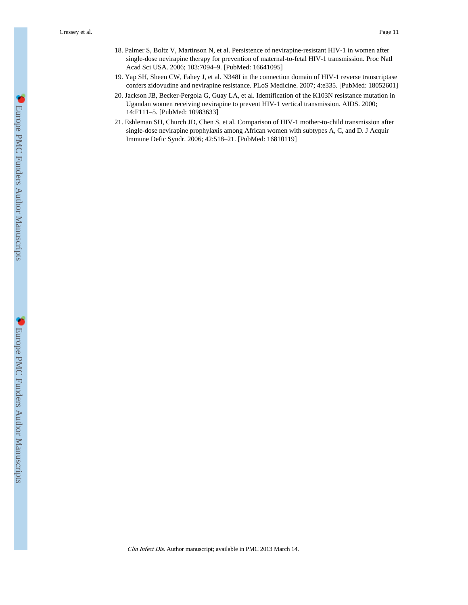- 18. Palmer S, Boltz V, Martinson N, et al. Persistence of nevirapine-resistant HIV-1 in women after single-dose nevirapine therapy for prevention of maternal-to-fetal HIV-1 transmission. Proc Natl Acad Sci USA. 2006; 103:7094–9. [PubMed: 16641095]
- 19. Yap SH, Sheen CW, Fahey J, et al. N348I in the connection domain of HIV-1 reverse transcriptase confers zidovudine and nevirapine resistance. PLoS Medicine. 2007; 4:e335. [PubMed: 18052601]
- 20. Jackson JB, Becker-Pergola G, Guay LA, et al. Identification of the K103N resistance mutation in Ugandan women receiving nevirapine to prevent HIV-1 vertical transmission. AIDS. 2000; 14:F111–5. [PubMed: 10983633]
- 21. Eshleman SH, Church JD, Chen S, et al. Comparison of HIV-1 mother-to-child transmission after single-dose nevirapine prophylaxis among African women with subtypes A, C, and D. J Acquir Immune Defic Syndr. 2006; 42:518–21. [PubMed: 16810119]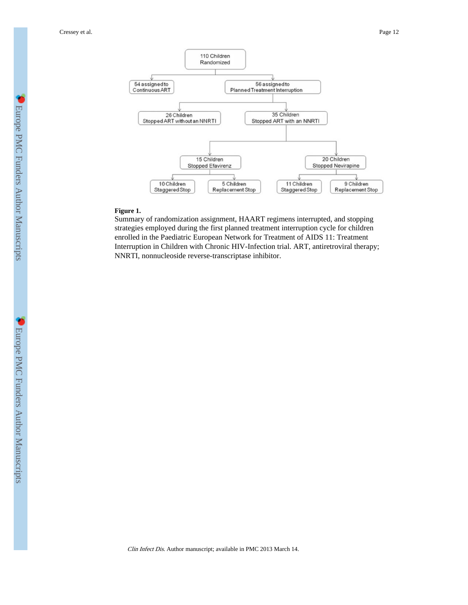Cressey et al. Page 12



## **Figure 1.**

Summary of randomization assignment, HAART regimens interrupted, and stopping strategies employed during the first planned treatment interruption cycle for children enrolled in the Paediatric European Network for Treatment of AIDS 11: Treatment Interruption in Children with Chronic HIV-Infection trial. ART, antiretroviral therapy; NNRTI, nonnucleoside reverse-transcriptase inhibitor.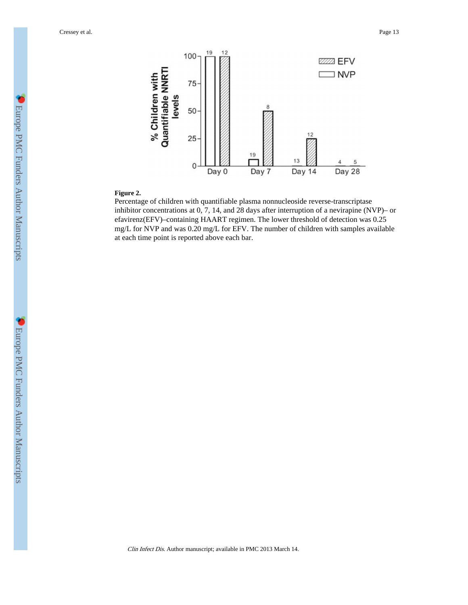

#### **Figure 2.**

Percentage of children with quantifiable plasma nonnucleoside reverse-transcriptase inhibitor concentrations at 0, 7, 14, and 28 days after interruption of a nevirapine (NVP)– or efavirenz(EFV)–containing HAART regimen. The lower threshold of detection was 0.25 mg/L for NVP and was 0.20 mg/L for EFV. The number of children with samples available at each time point is reported above each bar.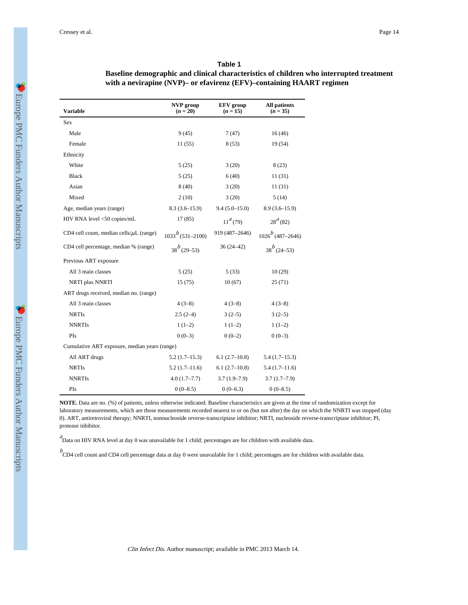| with a nevirapine (NVP)- or efavirenz (EFV)-containing HAART regimen |                                |                                |                                   |  |  |  |
|----------------------------------------------------------------------|--------------------------------|--------------------------------|-----------------------------------|--|--|--|
| <b>Variable</b>                                                      | <b>NVP</b> group<br>$(n = 20)$ | <b>EFV</b> group<br>$(n = 15)$ | <b>All patients</b><br>$(n = 35)$ |  |  |  |
| Sex                                                                  |                                |                                |                                   |  |  |  |
| Male                                                                 | 9(45)                          | 7(47)                          | 16(46)                            |  |  |  |
| Female                                                               | 11(55)                         | 8(53)                          | 19 (54)                           |  |  |  |
| Ethnicity                                                            |                                |                                |                                   |  |  |  |
| White                                                                | 5(25)                          | 3(20)                          | 8(23)                             |  |  |  |
| <b>Black</b>                                                         | 5(25)                          | 6(40)                          | 11(31)                            |  |  |  |
| Asian                                                                | 8(40)                          | 3(20)                          | 11(31)                            |  |  |  |
| Mixed                                                                | 2(10)                          | 3(20)                          | 5(14)                             |  |  |  |
| Age, median years (range)                                            | $8.3(3.6-15.9)$                | $9.4(5.0-15.0)$                | $8.9(3.6-15.9)$                   |  |  |  |
| HIV RNA level <50 copies/mL                                          | 17(85)                         | $11^a(79)$                     | $28^a(82)$                        |  |  |  |
| CD4 cell count, median cells/ $\mu$ L (range)                        | $1033^{b}$ (531-2100)          | 919 (487-2646)                 | $1026^{b}$ (487–2646)             |  |  |  |
| CD4 cell percentage, median % (range)                                | $38^{b}$ (29–53)               | $36(24 - 42)$                  | $38^{b}$ (24–53)                  |  |  |  |
| Previous ART exposure                                                |                                |                                |                                   |  |  |  |
| All 3 main classes                                                   | 5(25)                          | 5(33)                          | 10(29)                            |  |  |  |
| <b>NRTI</b> plus <b>NNRTI</b>                                        | 15(75)                         | 10(67)                         | 25(71)                            |  |  |  |
| ART drugs received, median no. (range)                               |                                |                                |                                   |  |  |  |
| All 3 main classes                                                   | $4(3-8)$                       | $4(3-8)$                       | $4(3-8)$                          |  |  |  |
| <b>NRTIs</b>                                                         | $2.5(2-4)$                     | $3(2-5)$                       | $3(2-5)$                          |  |  |  |

#### **Table 1**

# **Baseline demographic and clinical characteristics of children who interrupted treatment**

**NOTE.** Data are no. (%) of patients, unless otherwise indicated. Baseline characteristics are given at the time of randomization except for laboratory measurements, which are those measurements recorded nearest to or on (but not after) the day on which the NNRTI was stopped (day 0). ART, antiretroviral therapy; NNRTI, nonnucleoside reverse-transcriptase inhibitor; NRTI, nucleoside reverse-transcriptase inhibitor; PI, protease inhibitor.

 ${}^a$ Data on HIV RNA level at day 0 was unavailable for 1 child; percentages are for children with available data.

NNRTIS  $1(1-2)$   $1(1-2)$   $1(1-2)$ PIs  $0(0-3)$   $0(0-2)$   $0(0-3)$ 

All ART drugs 5.2 (1.7–15.3) 6.1 (2.7–10.8) 5.4 (1.7–15.3) NRTIs 5.2 (1.7–11.6) 6.1 (2.7–10.8) 5.4 (1.7–11.6) NNRTIs 4.0 (1.7–7.7) 3.7 (1.9–7.9) 3.7 (1.7–7.9) PIs  $0(0-8.5)$   $0(0-6.3)$   $0(0-8.5)$ 

Cumulative ART exposure, median years (range)

 $b$ <br>CD4 cell count and CD4 cell percentage data at day 0 were unavailable for 1 child; percentages are for children with available data.